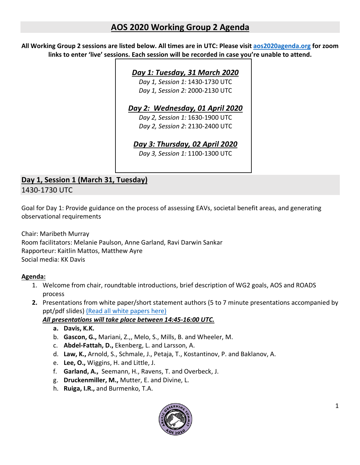## **AOS 2020 Working Group 2 Agenda**

**All Working Group 2 sessions are listed below. All times are in UTC: Please visit aos2020agenda.org for zoom links to enter 'live' sessions. Each session will be recorded in case you're unable to attend.**

#### *Day 1: Tuesday, 31 March 2020*

*Day 1, Session 1:* 1430-1730 UTC *Day 1, Session 2:* 2000-2130 UTC

#### *Day 2: Wednesday, 01 April 2020*

*Day 2, Session 1:* 1630-1900 UTC *Day 2, Session 2*: 2130-2400 UTC

## *Day 3: Thursday, 02 April 2020*

*Day 3, Session 1:* 1100-1300 UTC

# **Day 1, Session 1 (March 31, Tuesday)**

1430-1730 UTC

Goal for Day 1: Provide guidance on the process of assessing EAVs, societal benefit areas, and generating observational requirements

Chair: Maribeth Murray Room facilitators: Melanie Paulson, Anne Garland, Ravi Darwin Sankar Rapporteur: Kaitlin Mattos, Matthew Ayre Social media: KK Davis

#### **Agenda:**

- 1. Welcome from chair, roundtable introductions, brief description of WG2 goals, AOS and ROADS process
- **2.** Presentations from white paper/short statement authors (5 to 7 minute presentations accompanied by ppt/pdf slides) (Read all white papers here)

#### *All presentations will take place between 14:45-16:00 UTC.*

- **a. Davis, K.K.**
- b. **Gascon, G.,** Mariani, Z.,, Melo, S., Mills, B. and Wheeler, M.
- c. **Abdel-Fattah, D.,** Ekenberg, L. and Larsson, A.
- d. **Law, K.,** Arnold, S., Schmale, J., Petaja, T., Kostantinov, P. and Baklanov, A.
- e. **Lee, O.,** Wiggins, H. and Little, J.
- f. **Garland, A.,** Seemann, H., Ravens, T. and Overbeck, J.
- g. **Druckenmiller, M.,** Mutter, E. and Divine, L.
- h. **Ruiga, I.R.,** and Burmenko, T.A.

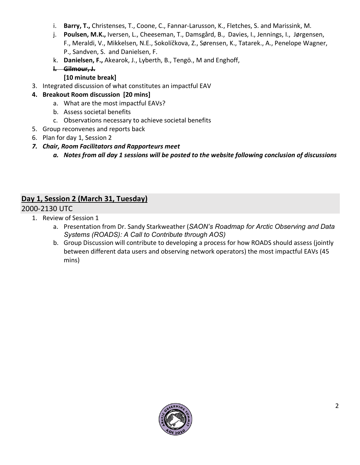- i. **Barry, T.,** Christenses, T., Coone, C., Fannar-Larusson, K., Fletches, S. and Marissink, M.
- j. **Poulsen, M.K.,** Iversen, L., Cheeseman, T., Damsgård, B., Davies, I., Jennings, I., Jørgensen, F., Meraldi, V., Mikkelsen, N.E., Sokolíčkova, Z., Sørensen, K., Tatarek., A., Penelope Wagner, P., Sandven, S. and Danielsen, F.
- k. **Danielsen, F.,** Akearok, J., Lyberth, B., Tengö., M and Enghoff,

#### **l. Gilmour, J.**

#### **[10 minute break]**

- 3. Integrated discussion of what constitutes an impactful EAV
- **4. Breakout Room discussion [20 mins]**
	- a. What are the most impactful EAVs?
	- b. Assess societal benefits
	- c. Observations necessary to achieve societal benefits
- 5. Group reconvenes and reports back
- 6. Plan for day 1, Session 2
- *7. Chair, Room Facilitators and Rapporteurs meet* 
	- *a. Notes from all day 1 sessions will be posted to the website following conclusion of discussions*

## **Day 1, Session 2 (March 31, Tuesday)**

#### 2000-2130 UTC

- 1. Review of Session 1
	- a. Presentation from Dr. Sandy Starkweather (*SAON's Roadmap for Arctic Observing and Data Systems (ROADS): A Call to Contribute through AOS)*
	- b. Group Discussion will contribute to developing a process for how ROADS should assess (jointly between different data users and observing network operators) the most impactful EAVs (45 mins)